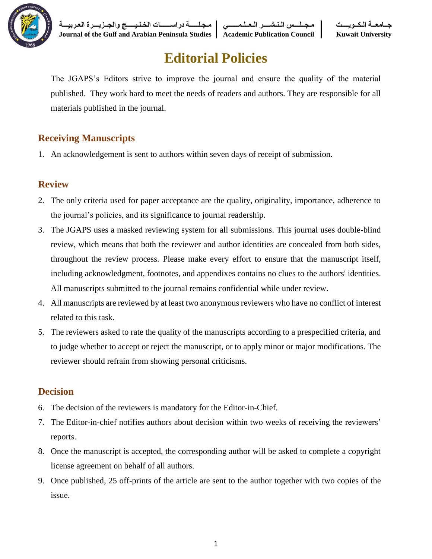

**جــامعــة الـكــويــــت مـجــلـــس الـنـشــــر الـعــلـمــــــي مـجـلـــــة دراســــــات الخـلـيـــــج والجــزيـــرة العـربيـــة Journal of the Gulf and Arabian Peninsula Studies Academic Publication Council Kuwait University**

# **Editorial Policies**

The JGAPS's Editors strive to improve the journal and ensure the quality of the material published. They work hard to meet the needs of readers and authors. They are responsible for all materials published in the journal.

## **Receiving Manuscripts**

1. An acknowledgement is sent to authors within seven days of receipt of submission.

#### **Review**

- 2. The only criteria used for paper acceptance are the quality, originality, importance, adherence to the journal's policies, and its significance to journal readership.
- 3. The JGAPS uses a masked reviewing system for all submissions. This journal uses double-blind review, which means that both the reviewer and author identities are concealed from both sides, throughout the review process. Please make every effort to ensure that the manuscript itself, including acknowledgment, footnotes, and appendixes contains no clues to the authors' identities. All manuscripts submitted to the journal remains confidential while under review.
- 4. All manuscripts are reviewed by at least two anonymous reviewers who have no conflict of interest related to this task.
- 5. The reviewers asked to rate the quality of the manuscripts according to a prespecified criteria, and to judge whether to accept or reject the manuscript, or to apply minor or major modifications. The reviewer should refrain from showing personal criticisms.

### **Decision**

- 6. The decision of the reviewers is mandatory for the Editor-in-Chief.
- 7. The Editor-in-chief notifies authors about decision within two weeks of receiving the reviewers' reports.
- 8. Once the manuscript is accepted, the corresponding author will be asked to complete a copyright license agreement on behalf of all authors.
- 9. Once published, 25 off-prints of the article are sent to the author together with two copies of the issue.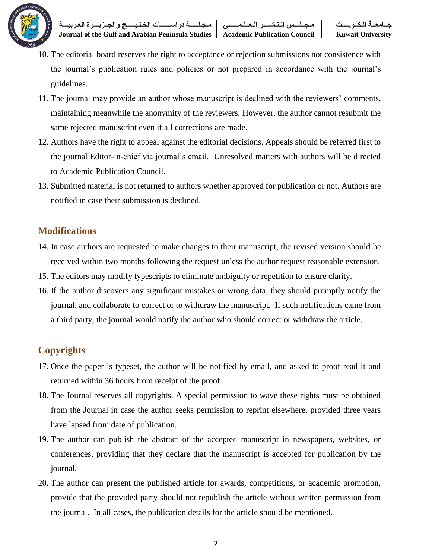

**جــامعــة الـكــويــــت مـجــلـــس الـنـشــــر الـعــلـمــــــي مـجـلـــــة دراســــــات الخـلـيـــــج والجــزيـــرة العـربيـــة Journal of the Gulf and Arabian Peninsula Studies Academic Publication Council Kuwait University**

- 10. The editorial board reserves the right to acceptance or rejection submissions not consistence with the journal's publication rules and policies or not prepared in accordance with the journal's guidelines.
- 11. The journal may provide an author whose manuscript is declined with the reviewers' comments, maintaining meanwhile the anonymity of the reviewers. However, the author cannot resubmit the same rejected manuscript even if all corrections are made.
- 12. Authors have the right to appeal against the editorial decisions. Appeals should be referred first to the journal Editor-in-chief via journal's email. Unresolved matters with authors will be directed to Academic Publication Council.
- 13. Submitted material is not returned to authors whether approved for publication or not. Authors are notified in case their submission is declined.

### **Modifications**

- 14. In case authors are requested to make changes to their manuscript, the revised version should be received within two months following the request unless the author request reasonable extension.
- 15. The editors may modify typescripts to eliminate ambiguity or repetition to ensure clarity.
- 16. If the author discovers any significant mistakes or wrong data, they should promptly notify the journal, and collaborate to correct or to withdraw the manuscript. If such notifications came from a third party, the journal would notify the author who should correct or withdraw the article.

## **Copyrights**

- 17. Once the paper is typeset, the author will be notified by email, and asked to proof read it and returned within 36 hours from receipt of the proof.
- 18. The Journal reserves all copyrights. A special permission to wave these rights must be obtained from the Journal in case the author seeks permission to reprint elsewhere, provided three years have lapsed from date of publication.
- 19. The author can publish the abstract of the accepted manuscript in newspapers, websites, or conferences, providing that they declare that the manuscript is accepted for publication by the journal.
- 20. The author can present the published article for awards, competitions, or academic promotion, provide that the provided party should not republish the article without written permission from the journal. In all cases, the publication details for the article should be mentioned.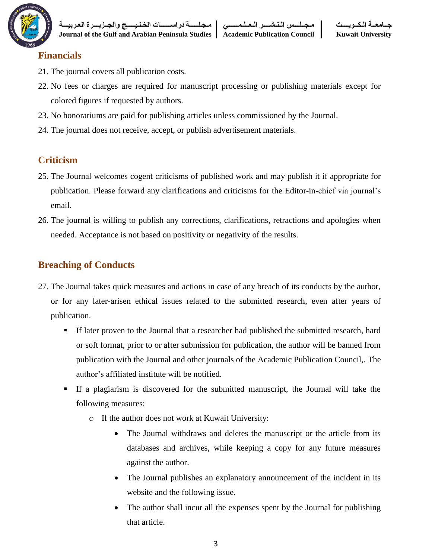

**جــامعــة الـكــويــــت مـجــلـــس الـنـشــــر الـعــلـمــــــي مـجـلـــــة دراســــــات الخـلـيـــــج والجــزيـــرة العـربيـــة**

**Journal of the Gulf and Arabian Peninsula Studies | Academic Publication Council | Kuwait University** 

#### **Financials**

- 21. The journal covers all publication costs.
- 22. No fees or charges are required for manuscript processing or publishing materials except for colored figures if requested by authors.
- 23. No honorariums are paid for publishing articles unless commissioned by the Journal.
- 24. The journal does not receive, accept, or publish advertisement materials.

## **Criticism**

- 25. The Journal welcomes cogent criticisms of published work and may publish it if appropriate for publication. Please forward any clarifications and criticisms for the Editor-in-chief via journal's email.
- 26. The journal is willing to publish any corrections, clarifications, retractions and apologies when needed. Acceptance is not based on positivity or negativity of the results.

### **Breaching of Conducts**

- 27. The Journal takes quick measures and actions in case of any breach of its conducts by the author, or for any later-arisen ethical issues related to the submitted research, even after years of publication.
	- If later proven to the Journal that a researcher had published the submitted research, hard or soft format, prior to or after submission for publication, the author will be banned from publication with the Journal and other journals of the Academic Publication Council,. The author's affiliated institute will be notified.
	- If a plagiarism is discovered for the submitted manuscript, the Journal will take the following measures:
		- o If the author does not work at Kuwait University:
			- The Journal withdraws and deletes the manuscript or the article from its databases and archives, while keeping a copy for any future measures against the author.
			- The Journal publishes an explanatory announcement of the incident in its website and the following issue.
			- The author shall incur all the expenses spent by the Journal for publishing that article.